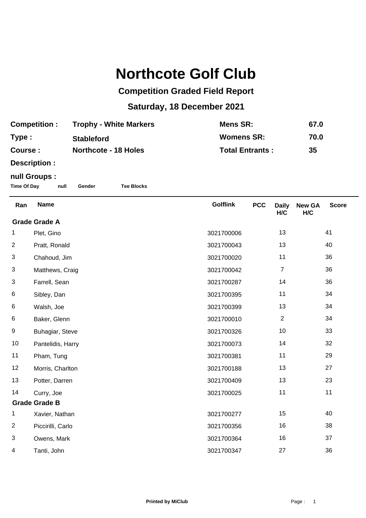## **Northcote Golf Club**

## **Competition Graded Field Report**

## **Saturday, 18 December 2021**

| <b>Competition:</b> | <b>Trophy - White Markers</b> | Mens SR:               | 67.0 |
|---------------------|-------------------------------|------------------------|------|
| Type:               | <b>Stableford</b>             | <b>Womens SR:</b>      | 70.0 |
| Course :            | Northcote - 18 Holes          | <b>Total Entrants:</b> | 35   |

**Description :**

## **null Groups :**

**Time Of Day null Gender Tee Blocks**

| Ran                  | <b>Name</b>       | <b>Golflink</b> | <b>PCC</b> | <b>Daily</b><br>H/C | <b>New GA</b><br>H/C | <b>Score</b> |  |
|----------------------|-------------------|-----------------|------------|---------------------|----------------------|--------------|--|
| <b>Grade Grade A</b> |                   |                 |            |                     |                      |              |  |
| 1                    | Plet, Gino        | 3021700006      |            | 13                  |                      | 41           |  |
| $\overline{c}$       | Pratt, Ronald     | 3021700043      |            | 13                  |                      | 40           |  |
| 3                    | Chahoud, Jim      | 3021700020      |            | 11                  |                      | 36           |  |
| 3                    | Matthews, Craig   | 3021700042      |            | $\overline{7}$      |                      | 36           |  |
| 3                    | Farrell, Sean     | 3021700287      |            | 14                  |                      | 36           |  |
| 6                    | Sibley, Dan       | 3021700395      |            | 11                  |                      | 34           |  |
| 6                    | Walsh, Joe        | 3021700399      |            | 13                  |                      | 34           |  |
| 6                    | Baker, Glenn      | 3021700010      |            | $\overline{2}$      |                      | 34           |  |
| 9                    | Buhagiar, Steve   | 3021700326      |            | 10                  |                      | 33           |  |
| 10                   | Pantelidis, Harry | 3021700073      |            | 14                  |                      | 32           |  |
| 11                   | Pham, Tung        | 3021700381      |            | 11                  |                      | 29           |  |
| 12                   | Morris, Charlton  | 3021700188      |            | 13                  |                      | 27           |  |
| 13                   | Potter, Darren    | 3021700409      |            | 13                  |                      | 23           |  |
| 14                   | Curry, Joe        | 3021700025      |            | 11                  |                      | 11           |  |
| <b>Grade Grade B</b> |                   |                 |            |                     |                      |              |  |
| 1                    | Xavier, Nathan    | 3021700277      |            | 15                  |                      | 40           |  |
| $\overline{2}$       | Piccirilli, Carlo | 3021700356      |            | 16                  |                      | 38           |  |
| 3                    | Owens, Mark       | 3021700364      |            | 16                  |                      | 37           |  |
| 4                    | Tanti, John       | 3021700347      |            | 27                  |                      | 36           |  |